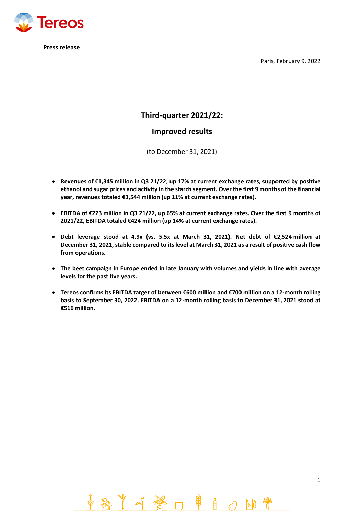**Tereos** 

**Press release**

Paris, February 9, 2022

1

# **Third-quarter 2021/22:**

# **Improved results**

(to December 31, 2021)

- **Revenues of €1,345 million in Q3 21/22, up 17% at current exchange rates, supported by positive ethanol and sugar prices and activity in the starch segment. Over the first 9 months of the financial year, revenues totaled €3,544 million (up 11% at current exchange rates).**
- **EBITDA of €223 million in Q3 21/22, up 65% at current exchange rates. Over the first 9 months of 2021/22, EBITDA totaled €424 million (up 14% at current exchange rates).**
- **Debt leverage stood at 4.9x (vs. 5.5x at March 31, 2021). Net debt of €2,524 million at December 31, 2021, stable compared to its level at March 31, 2021 as a result of positive cash flow from operations.**
- **The beet campaign in Europe ended in late January with volumes and yields in line with average levels for the past five years.**
- **Tereos confirms its EBITDA target of between €600 million and €700 million on a 12-month rolling basis to September 30, 2022. EBITDA on a 12-month rolling basis to December 31, 2021 stood at €516 million.**

第 日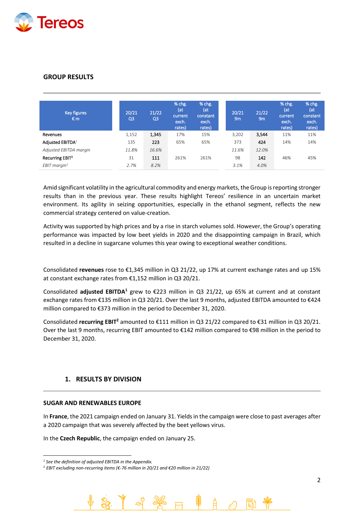

# **GROUP RESULTS**

| Key figures<br>€m           | 20/21<br>Q <sub>3</sub> | 21/22<br>Q <sub>3</sub> | % chg.<br>(at<br>current<br>exch.<br>rates) | % chg.<br>(at<br>constant<br>exch.<br>rates) | 20/21<br>9 <sub>m</sub> | 21/22<br>9m | % chg.<br>(at<br>current<br>exch.<br>rates) | % chg.<br>(at<br>constant<br>exch.<br>rates) |
|-----------------------------|-------------------------|-------------------------|---------------------------------------------|----------------------------------------------|-------------------------|-------------|---------------------------------------------|----------------------------------------------|
| Revenues                    | 1,152                   | 1,345                   | 17%                                         | 15%                                          | 3,202                   | 3.544       | 11%                                         | 11%                                          |
| Adjusted EBITDA1            | 135                     | 223                     | 65%                                         | 65%                                          | 373                     | 424         | 14%                                         | 14%                                          |
| Adjusted EBITDA margin      | 11.8%                   | 16.6%                   |                                             |                                              | 11.6%                   | 12.0%       |                                             |                                              |
| Recurring EBIT <sup>2</sup> | 31                      | 111                     | 261%                                        | 261%                                         | 98                      | 142         | 46%                                         | 45%                                          |
| $EBIT$ margin <sup>2</sup>  | 2.7%                    | 8.2%                    |                                             |                                              | 3.1%                    | 4.0%        |                                             |                                              |

Amid significant volatility in the agricultural commodity and energy markets, the Group is reporting stronger results than in the previous year. These results highlight Tereos' resilience in an uncertain market environment. Its agility in seizing opportunities, especially in the ethanol segment, reflects the new commercial strategy centered on value-creation.

Activity was supported by high prices and by a rise in starch volumes sold. However, the Group's operating performance was impacted by low beet yields in 2020 and the disappointing campaign in Brazil, which resulted in a decline in sugarcane volumes this year owing to exceptional weather conditions.

Consolidated **revenues** rose to €1,345 million in Q3 21/22, up 17% at current exchange rates and up 15% at constant exchange rates from €1,152 million in Q3 20/21.

Consolidated **adjusted EBITDA<sup>1</sup>** grew to €223 million in Q3 21/22, up 65% at current and at constant exchange rates from €135 million in Q3 20/21. Over the last 9 months, adjusted EBITDA amounted to €424 million compared to €373 million in the period to December 31, 2020.

Consolidated **recurring EBIT<sup>2</sup>** amounted to €111 million in Q3 21/22 compared to €31 million in Q3 20/21. Over the last 9 months, recurring EBIT amounted to €142 million compared to €98 million in the period to December 31, 2020.

## **1. RESULTS BY DIVISION**

## **SUGAR AND RENEWABLES EUROPE**

In **France**, the 2021 campaign ended on January 31. Yields in the campaign were close to past averages after a 2020 campaign that was severely affected by the beet yellows virus.

In the **Czech Republic**, the campaign ended on January 25.

*<sup>1</sup> See the definition of adjusted EBITDA in the Appendix.*

<sup>2</sup> *EBIT excluding non-recurring items (€-76 million in 20/21 and €20 million in 21/22)*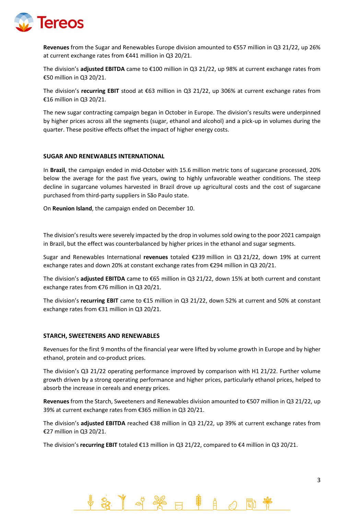

**Revenues** from the Sugar and Renewables Europe division amounted to €557 million in Q3 21/22, up 26% at current exchange rates from €441 million in Q3 20/21.

The division's **adjusted EBITDA** came to €100 million in Q3 21/22, up 98% at current exchange rates from €50 million in Q3 20/21.

The division's **recurring EBIT** stood at €63 million in Q3 21/22, up 306% at current exchange rates from €16 million in Q3 20/21.

The new sugar contracting campaign began in October in Europe. The division's results were underpinned by higher prices across all the segments (sugar, ethanol and alcohol) and a pick-up in volumes during the quarter. These positive effects offset the impact of higher energy costs.

## **SUGAR AND RENEWABLES INTERNATIONAL**

In **Brazil**, the campaign ended in mid-October with 15.6 million metric tons of sugarcane processed, 20% below the average for the past five years, owing to highly unfavorable weather conditions. The steep decline in sugarcane volumes harvested in Brazil drove up agricultural costs and the cost of sugarcane purchased from third-party suppliers in São Paulo state.

On **Reunion Island**, the campaign ended on December 10.

The division's results were severely impacted by the drop in volumes sold owing to the poor 2021 campaign in Brazil, but the effect was counterbalanced by higher prices in the ethanol and sugar segments.

Sugar and Renewables International **revenues** totaled €239 million in Q3 21/22, down 19% at current exchange rates and down 20% at constant exchange rates from €294 million in Q3 20/21.

The division's **adjusted EBITDA** came to €65 million in Q3 21/22, down 15% at both current and constant exchange rates from €76 million in Q3 20/21.

The division's **recurring EBIT** came to €15 million in Q3 21/22, down 52% at current and 50% at constant exchange rates from €31 million in Q3 20/21.

## **STARCH, SWEETENERS AND RENEWABLES**

Revenues for the first 9 months of the financial year were lifted by volume growth in Europe and by higher ethanol, protein and co-product prices.

The division's Q3 21/22 operating performance improved by comparison with H1 21/22. Further volume growth driven by a strong operating performance and higher prices, particularly ethanol prices, helped to absorb the increase in cereals and energy prices.

**Revenues** from the Starch, Sweeteners and Renewables division amounted to €507 million in Q3 21/22, up 39% at current exchange rates from €365 million in Q3 20/21.

The division's **adjusted EBITDA** reached €38 million in Q3 21/22, up 39% at current exchange rates from €27 million in Q3 20/21.

The division's **recurring EBIT** totaled €13 million in Q3 21/22, compared to €4 million in Q3 20/21.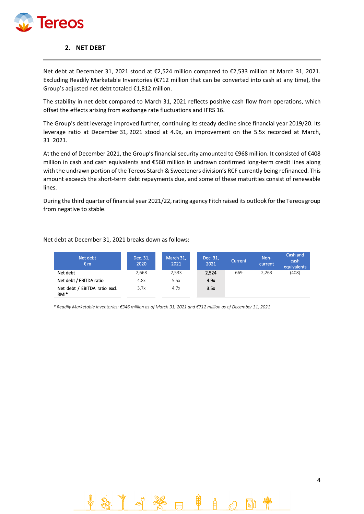

## **2. NET DEBT**

Net debt at December 31, 2021 stood at €2,524 million compared to €2,533 million at March 31, 2021. Excluding Readily Marketable Inventories (€712 million that can be converted into cash at any time), the Group's adjusted net debt totaled €1,812 million.

The stability in net debt compared to March 31, 2021 reflects positive cash flow from operations, which offset the effects arising from exchange rate fluctuations and IFRS 16.

The Group's debt leverage improved further, continuing its steady decline since financial year 2019/20. Its leverage ratio at December 31, 2021 stood at 4.9x, an improvement on the 5.5x recorded at March, 31 2021.

At the end of December 2021, the Group's financial security amounted to €968 million. It consisted of €408 million in cash and cash equivalents and €560 million in undrawn confirmed long-term credit lines along with the undrawn portion of the Tereos Starch & Sweeteners division's RCF currently being refinanced. This amount exceeds the short-term debt repayments due, and some of these maturities consist of renewable lines.

During the third quarter of financial year 2021/22, rating agency Fitch raised its outlook for the Tereos group from negative to stable.

Net debt at December 31, 2021 breaks down as follows:

| Net debt<br>€m                                    | Dec. 31,<br>2020 | March 31,<br>2021 | Dec. 31,<br>2021 | Current | Non-<br>current | Cash and<br>cash<br>equivalents |
|---------------------------------------------------|------------------|-------------------|------------------|---------|-----------------|---------------------------------|
| Net debt                                          | 2.668            | 2,533             | 2,524            | 669     | 2,263           | (408)                           |
| Net debt / EBITDA ratio                           | 4.8x             | 5.5x              | 4.9x             |         |                 |                                 |
| Net debt / EBITDA ratio excl.<br>RMI <sup>*</sup> | 3.7x             | 4.7x              | 3.5x             |         |                 |                                 |

 *\* Readily Marketable Inventories: €346 million as of March 31, 2021 and €712 million as of December 31, 2021*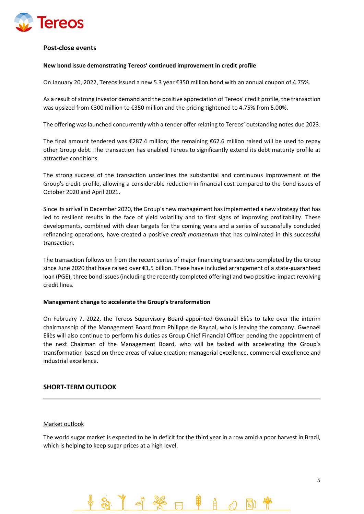

## **Post-close events**

## **New bond issue demonstrating Tereos' continued improvement in credit profile**

On January 20, 2022, Tereos issued a new 5.3 year €350 million bond with an annual coupon of 4.75%.

As a result of strong investor demand and the positive appreciation of Tereos' credit profile, the transaction was upsized from €300 million to €350 million and the pricing tightened to 4.75% from 5.00%.

The offering was launched concurrently with a tender offer relating to Tereos' outstanding notes due 2023.

The final amount tendered was €287.4 million; the remaining €62.6 million raised will be used to repay other Group debt. The transaction has enabled Tereos to significantly extend its debt maturity profile at attractive conditions.

The strong success of the transaction underlines the substantial and continuous improvement of the Group's credit profile, allowing a considerable reduction in financial cost compared to the bond issues of October 2020 and April 2021.

Since its arrival in December 2020, the Group's new management has implemented a new strategy that has led to resilient results in the face of yield volatility and to first signs of improving profitability. These developments, combined with clear targets for the coming years and a series of successfully concluded refinancing operations, have created a positive *credit momentum* that has culminated in this successful transaction.

The transaction follows on from the recent series of major financing transactions completed by the Group since June 2020 that have raised over €1.5 billion. These have included arrangement of a state-guaranteed loan (PGE), three bond issues (including the recently completed offering) and two positive-impact revolving credit lines.

#### **Management change to accelerate the Group's transformation**

On February 7, 2022, the Tereos Supervisory Board appointed Gwenaël Eliès to take over the interim chairmanship of the Management Board from Philippe de Raynal, who is leaving the company. Gwenaël Eliès will also continue to perform his duties as Group Chief Financial Officer pending the appointment of the next Chairman of the Management Board, who will be tasked with accelerating the Group's transformation based on three areas of value creation: managerial excellence, commercial excellence and industrial excellence.

## **SHORT-TERM OUTLOOK**

## Market outlook

The world sugar market is expected to be in deficit for the third year in a row amid a poor harvest in Brazil, which is helping to keep sugar prices at a high level.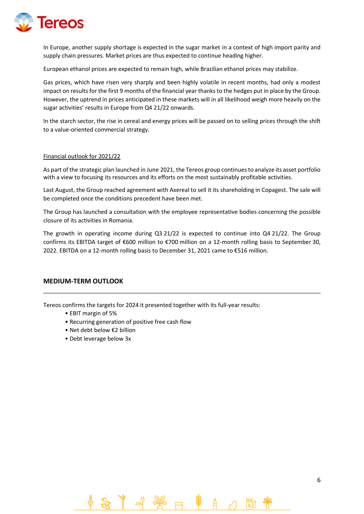

In Europe, another supply shortage is expected in the sugar market in a context of high import parity and supply chain pressures. Market prices are thus expected to continue heading higher.

European ethanol prices are expected to remain high, while Brazilian ethanol prices may stabilize.

Gas prices, which have risen very sharply and been highly volatile in recent months, had only a modest impact on results for the first 9 months of the financial year thanks to the hedges put in place by the Group. However, the uptrend in prices anticipated in these markets will in all likelihood weigh more heavily on the sugar activities' results in Europe from Q4 21/22 onwards.

In the starch sector, the rise in cereal and energy prices will be passed on to selling prices through the shift to a value-oriented commercial strategy.

## Financial outlook for 2021/22

As part of the strategic plan launched in June 2021, the Tereos group continues to analyze its asset portfolio with a view to focusing its resources and its efforts on the most sustainably profitable activities.

Last August, the Group reached agreement with Axereal to sell it its shareholding in Copagest. The sale will be completed once the conditions precedent have been met.

The Group has launched a consultation with the employee representative bodies concerning the possible closure of its activities in Romania.

The growth in operating income during Q3 21/22 is expected to continue into Q4 21/22. The Group confirms its EBITDA target of €600 million to €700 million on a 12-month rolling basis to September 30, 2022. EBITDA on a 12-month rolling basis to December 31, 2021 came to €516 million.

## **MEDIUM-TERM OUTLOOK**

Tereos confirms the targets for 2024 it presented together with its full-year results:

- EBIT margin of 5%
- Recurring generation of positive free cash flow
- Net debt below €2 billion
- Debt leverage below 3x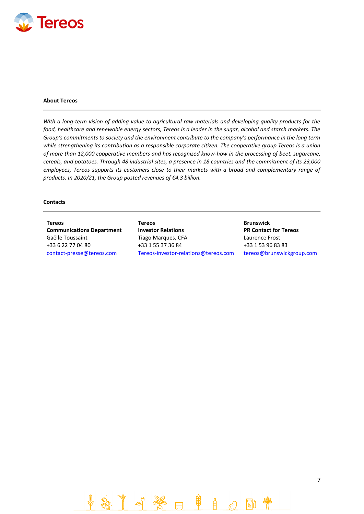

#### **About Tereos**

*With a long-term vision of adding value to agricultural raw materials and developing quality products for the food, healthcare and renewable energy sectors, Tereos is a leader in the sugar, alcohol and starch markets. The Group's commitments to society and the environment contribute to the company's performance in the long term while strengthening its contribution as a responsible corporate citizen. The cooperative group Tereos is a union of more than 12,000 cooperative members and has recognized know-how in the processing of beet, sugarcane, cereals, and potatoes. Through 48 industrial sites, a presence in 18 countries and the commitment of its 23,000 employees, Tereos supports its customers close to their markets with a broad and complementary range of products. In 2020/21, the Group posted revenues of €4.3 billion.*

#### **Contacts**

**Tereos Communications Department** Gaëlle Toussaint +33 6 22 77 04 80

**Tereos Investor Relations** Tiago Marques, CFA +33 1 55 37 36 84 [contact-presse@tereos.com](mailto:contact-presse@tereos.com) [Tereos-investor-relations@tereos.com](mailto:Tereos-investor-relations@tereos.com) [tereos@brunswickgroup.com](mailto:tereos@brunswickgroup.com)

**Brunswick PR Contact for Tereos** Laurence Frost +33 1 53 96 83 83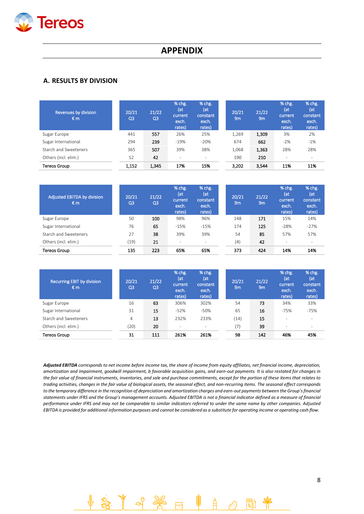

# **APPENDIX**

## **A. RESULTS BY DIVISION**

| Revenues by division<br>€m | 20/21<br>Q <sub>3</sub> | 21/22<br>Q <sub>3</sub> | % chg.<br>(at<br>current<br>exch.<br>rates) | % chg.<br>(at<br>constant<br>exch.<br>rates) | 20/21<br>9m | 21/22<br>9m | % chg.<br>(at<br>current<br>exch.<br>rates) | % chg.<br>(at<br>constant<br>exch.<br>rates) |
|----------------------------|-------------------------|-------------------------|---------------------------------------------|----------------------------------------------|-------------|-------------|---------------------------------------------|----------------------------------------------|
| Sugar Europe               | 441                     | 557                     | 26%                                         | 25%                                          | 1,269       | 1,309       | 3%                                          | 2%                                           |
| Sugar International        | 294                     | 239                     | $-19%$                                      | $-20%$                                       | 674         | 662         | $-2%$                                       | $-1%$                                        |
| Starch and Sweeteners      | 365                     | 507                     | 39%                                         | 38%                                          | 1,068       | 1,363       | 28%                                         | 28%                                          |
| Others (incl. elim.)       | 52                      | 42                      | ٠                                           | $\overline{\phantom{a}}$                     | 190         | 210         | ٠                                           | $\overline{\phantom{a}}$                     |
| Tereos Group               | 1,152                   | 1,345                   | 17%                                         | 15%                                          | 3,202       | 3,544       | 11%                                         | 11%                                          |

| <b>Adjusted EBITDA by division</b><br>€m | 20/21<br>Q3 | 21/22<br>Q <sub>3</sub> | % chg.<br>(at<br>current<br>exch.<br>rates) | % chg.<br>(at<br>constant<br>exch.<br>rates) | 20/21<br>9 <sub>m</sub> | 21/22<br>9 <sub>m</sub> | % chg.<br>(at<br>current<br>exch.<br>rates) | % chg.<br>(at<br>constant<br>exch.<br>rates) |
|------------------------------------------|-------------|-------------------------|---------------------------------------------|----------------------------------------------|-------------------------|-------------------------|---------------------------------------------|----------------------------------------------|
| Sugar Europe                             | 50          | 100                     | 98%                                         | 96%                                          | 148                     | 171                     | 15%                                         | 14%                                          |
| Sugar International                      | 76          | 65                      | $-15%$                                      | $-15%$                                       | 174                     | 125                     | $-28%$                                      | $-27%$                                       |
| Starch and Sweeteners                    | 27          | 38                      | 39%                                         | 39%                                          | 54                      | 85                      | 57%                                         | 57%                                          |
| Others (incl. elim.)                     | (19)        | 21                      | $\overline{\phantom{a}}$                    | $\overline{\phantom{a}}$                     | (4)                     | 42                      | $\overline{\phantom{a}}$                    | $\overline{\phantom{a}}$                     |
| Tereos Group                             | 135         | 223                     | 65%                                         | 65%                                          | 373                     | 424                     | 14%                                         | 14%                                          |

| <b>Recurring EBIT by division</b><br>€m | 20/21<br>Q3 | 21/22<br>Q <sub>3</sub> | % chg.<br>(at<br>current<br>exch.<br>rates) | % chg.<br>(at<br>constant<br>exch.<br>rates) | 20/21<br>9 <sub>m</sub> | 21/22<br>9 <sub>m</sub> | % chg.<br>(at<br>current<br>exch.<br>rates) | % chg.<br>(at<br>constant<br>exch.<br>rates) |
|-----------------------------------------|-------------|-------------------------|---------------------------------------------|----------------------------------------------|-------------------------|-------------------------|---------------------------------------------|----------------------------------------------|
| Sugar Europe                            | 16          | 63                      | 306%                                        | 302%                                         | 54                      | 73                      | 34%                                         | 33%                                          |
| Sugar International                     | 31          | 15                      | $-52%$                                      | $-50%$                                       | 65                      | 16                      | $-75%$                                      | $-75%$                                       |
| Starch and Sweeteners                   | 4           | 13                      | 232%                                        | 233%                                         | (14)                    | 15                      | $\overline{\phantom{a}}$                    | -                                            |
| Others (incl. elim.)                    | (20)        | 20                      | $\overline{\phantom{a}}$                    | $\overline{\phantom{a}}$                     | (7)                     | 39                      | $\overline{\phantom{a}}$                    | $\overline{\phantom{a}}$                     |
| Tereos Group                            | 31          | 111                     | 261%                                        | 261%                                         | 98                      | 142                     | 46%                                         | 45%                                          |

*Adjusted EBITDA corresponds to net income before income tax, the share of income from equity affiliates, net financial income, depreciation, amortization and impairment, goodwill impairment, b favorable acquisition gains, and earn-out payments. It is also restated for changes in the fair value of financial instruments, inventories, and sale and purchase commitments, except for the portion of these items that relates to trading activities, changes in the fair value of biological assets, the seasonal effect, and non-recurring items. The seasonal effect corresponds to the temporary difference in the recognition of depreciation and amortization charges and earn-out payments between the Group's financial statements under IFRS and the Group's management accounts. Adjusted EBITDA is not a financial indicator defined as a measure of financial performance under IFRS and may not be comparable to similar indicators referred to under the same name by other companies. Adjusted EBITDA is provided for additional information purposes and cannot be considered as a substitute for operating income or operating cash flow.*

Å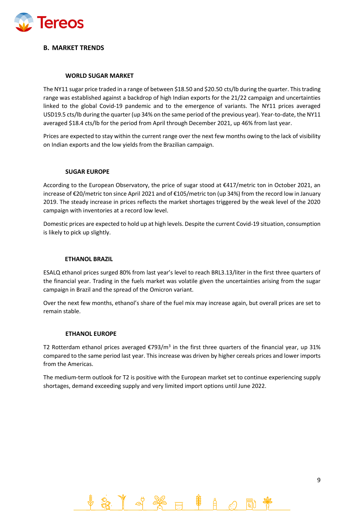

## **B. MARKET TRENDS**

## **WORLD SUGAR MARKET**

The NY11 sugar price traded in a range of between \$18.50 and \$20.50 cts/lb during the quarter. This trading range was established against a backdrop of high Indian exports for the 21/22 campaign and uncertainties linked to the global Covid-19 pandemic and to the emergence of variants. The NY11 prices averaged USD19.5 cts/lb during the quarter (up 34% on the same period of the previous year). Year-to-date, the NY11 averaged \$18.4 cts/lb for the period from April through December 2021, up 46% from last year.

Prices are expected to stay within the current range over the next few months owing to the lack of visibility on Indian exports and the low yields from the Brazilian campaign.

## **SUGAR EUROPE**

According to the European Observatory, the price of sugar stood at €417/metric ton in October 2021, an increase of €20/metric ton since April 2021 and of €105/metric ton (up 34%) from the record low in January 2019. The steady increase in prices reflects the market shortages triggered by the weak level of the 2020 campaign with inventories at a record low level.

Domestic prices are expected to hold up at high levels. Despite the current Covid-19 situation, consumption is likely to pick up slightly.

## **ETHANOL BRAZIL**

ESALQ ethanol prices surged 80% from last year's level to reach BRL3.13/liter in the first three quarters of the financial year. Trading in the fuels market was volatile given the uncertainties arising from the sugar campaign in Brazil and the spread of the Omicron variant.

Over the next few months, ethanol's share of the fuel mix may increase again, but overall prices are set to remain stable.

## **ETHANOL EUROPE**

T2 Rotterdam ethanol prices averaged €793/m<sup>3</sup> in the first three quarters of the financial year, up 31% compared to the same period last year. This increase was driven by higher cereals prices and lower imports from the Americas.

The medium-term outlook for T2 is positive with the European market set to continue experiencing supply shortages, demand exceeding supply and very limited import options until June 2022.